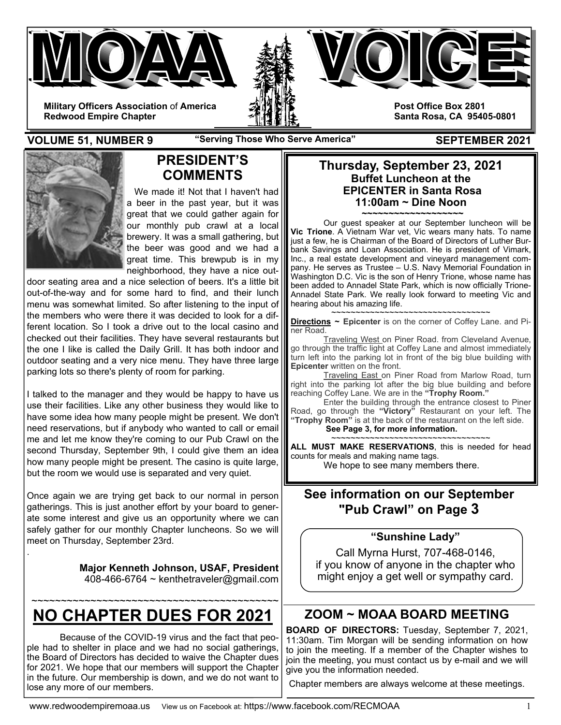



**Military Officers Association** of **America Redwood Empire Chapter** 

**Post Office Box 2801 Santa Rosa, CA 95405-0801** 

**VOLUME 51, NUMBER 9** "Serving Those Who Serve America" SEPTEMBER 2021



.

# **PRESIDENT'S COMMENTS**

 We made it! Not that I haven't had a beer in the past year, but it was great that we could gather again for our monthly pub crawl at a local brewery. It was a small gathering, but the beer was good and we had a great time. This brewpub is in my neighborhood, they have a nice out-

door seating area and a nice selection of beers. It's a little bit out-of-the-way and for some hard to find, and their lunch menu was somewhat limited. So after listening to the input of the members who were there it was decided to look for a different location. So I took a drive out to the local casino and checked out their facilities. They have several restaurants but the one I like is called the Daily Grill. It has both indoor and outdoor seating and a very nice menu. They have three large parking lots so there's plenty of room for parking.

I talked to the manager and they would be happy to have us use their facilities. Like any other business they would like to have some idea how many people might be present. We don't need reservations, but if anybody who wanted to call or email me and let me know they're coming to our Pub Crawl on the second Thursday, September 9th, I could give them an idea how many people might be present. The casino is quite large, but the room we would use is separated and very quiet.

Once again we are trying get back to our normal in person gatherings. This is just another effort by your board to generate some interest and give us an opportunity where we can safely gather for our monthly Chapter luncheons. So we will meet on Thursday, September 23rd.

> **Major Kenneth Johnson, USAF, President**  408-466-6764 ~ kenthetraveler@gmail.com

## ~~~~~~~~~~~~~~~~~~~~~~~~~~~~~~~~~~~~~~~~~~ **NO CHAPTER DUES FOR 2021**

Because of the COVID-19 virus and the fact that people had to shelter in place and we had no social gatherings, the Board of Directors has decided to waive the Chapter dues for 2021. We hope that our members will support the Chapter in the future. Our membership is down, and we do not want to lose any more of our members.

## **Thursday, September 23, 2021 Buffet Luncheon at the EPICENTER in Santa Rosa 11:00am ~ Dine Noon**

**~~~~~~~~~~~~~~~~~~~**  Our guest speaker at our September luncheon will be **Vic Trione**. A Vietnam War vet, Vic wears many hats. To name just a few, he is Chairman of the Board of Directors of Luther Burbank Savings and Loan Association. He is president of Vimark, Inc., a real estate development and vineyard management company. He serves as Trustee – U.S. Navy Memorial Foundation in Washington D.C. Vic is the son of Henry Trione, whose name has been added to Annadel State Park, which is now officially Trione-Annadel State Park. We really look forward to meeting Vic and hearing about his amazing life.

~~~~~~~~~~~~~~~~~~~~~~~~~~~~~~~~~~~ **Directions ~ Epicenter** is on the corner of Coffey Lane. and Piner Road.

 Traveling West on Piner Road. from Cleveland Avenue, go through the traffic light at Coffey Lane and almost immediately turn left into the parking lot in front of the big blue building with **Epicenter** written on the front.

 Traveling East on Piner Road from Marlow Road, turn right into the parking lot after the big blue building and before reaching Coffey Lane. We are in the **"Trophy Room."**

 Enter the building through the entrance closest to Piner Road, go through the **"Victory"** Restaurant on your left. The **"Trophy Room"** is at the back of the restaurant on the left side.

**See Page 3, for more information.** 

~~~~~~~~~~~~~~~~~~~~~~~~~~~~~~~~~~~ **ALL MUST MAKE RESERVATIONS**, this is needed for head counts for meals and making name tags.

We hope to see many members there.

# **See information on our September "Pub Crawl" on Page 3**

## **"Sunshine Lady"**

Call Myrna Hurst, 707-468-0146, if you know of anyone in the chapter who might enjoy a get well or sympathy card.

# **ZOOM ~ MOAA BOARD MEETING**

**BOARD OF DIRECTORS:** Tuesday, September 7, 2021, 11:30am. Tim Morgan will be sending information on how to join the meeting. If a member of the Chapter wishes to join the meeting, you must contact us by e-mail and we will give you the information needed.

Chapter members are always welcome at these meetings.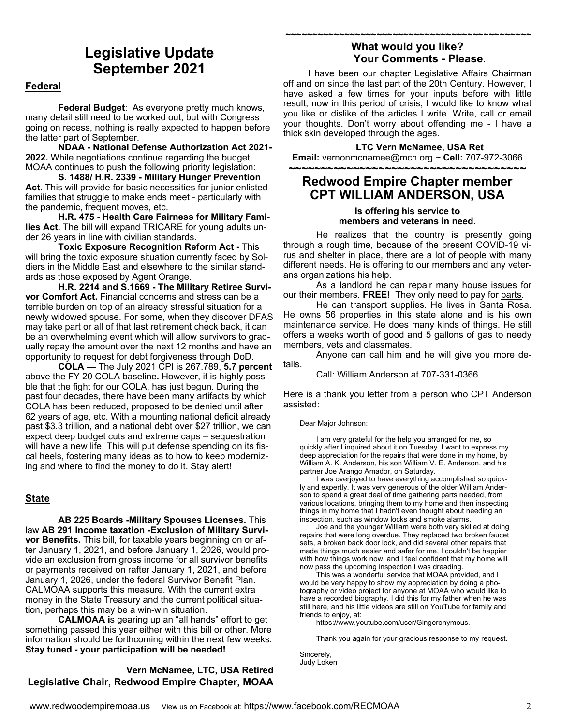# **Legislative Update September 2021**

### **Federal**

**Federal Budget**: As everyone pretty much knows, many detail still need to be worked out, but with Congress going on recess, nothing is really expected to happen before the latter part of September.

 **NDAA - National Defense Authorization Act 2021- 2022.** While negotiations continue regarding the budget, MOAA continues to push the following priority legislation:

**S. 1488/ H.R. 2339 - Military Hunger Prevention Act.** This will provide for basic necessities for junior enlisted families that struggle to make ends meet - particularly with the pandemic, frequent moves, etc.

**H.R. 475 - Health Care Fairness for Military Families Act.** The bill will expand TRICARE for young adults under 26 years in line with civilian standards.

**Toxic Exposure Recognition Reform Act -** This will bring the toxic exposure situation currently faced by Soldiers in the Middle East and elsewhere to the similar standards as those exposed by Agent Orange.

**H.R. 2214 and S.1669 - The Military Retiree Survivor Comfort Act.** Financial concerns and stress can be a terrible burden on top of an already stressful situation for a newly widowed spouse. For some, when they discover DFAS may take part or all of that last retirement check back, it can be an overwhelming event which will allow survivors to gradually repay the amount over the next 12 months and have an opportunity to request for debt forgiveness through DoD.

 **COLA —** The July 2021 CPI is 267.789, **5.7 percent** above the FY 20 COLA baseline**.** However, it is highly possible that the fight for our COLA, has just begun. During the past four decades, there have been many artifacts by which COLA has been reduced, proposed to be denied until after 62 years of age, etc. With a mounting national deficit already past \$3.3 trillion, and a national debt over \$27 trillion, we can expect deep budget cuts and extreme caps – sequestration will have a new life. This will put defense spending on its fiscal heels, fostering many ideas as to how to keep modernizing and where to find the money to do it. Stay alert!

## **State**

**AB 225 Boards -Military Spouses Licenses.** This law **AB 291 Income taxation -Exclusion of Military Survivor Benefits.** This bill, for taxable years beginning on or after January 1, 2021, and before January 1, 2026, would provide an exclusion from gross income for all survivor benefits or payments received on rafter January 1, 2021, and before January 1, 2026, under the federal Survivor Benefit Plan. CALMOAA supports this measure. With the current extra money in the State Treasury and the current political situation, perhaps this may be a win-win situation.

**CALMOAA i**s gearing up an "all hands" effort to get something passed this year either with this bill or other. More information should be forthcoming within the next few weeks. **Stay tuned - your participation will be needed!**

**Vern McNamee, LTC, USA Retired Legislative Chair, Redwood Empire Chapter, MOAA** 

#### **What would you like? Your Comments - Please**.

**~~~~~~~~~~~~~~~~~~~~~~~~~~~~~~~~~~~~~~~~~~~~~~** 

I have been our chapter Legislative Affairs Chairman off and on since the last part of the 20th Century. However, I have asked a few times for your inputs before with little result, now in this period of crisis, I would like to know what you like or dislike of the articles I write. Write, call or email your thoughts. Don't worry about offending me - I have a thick skin developed through the ages.

#### **LTC Vern McNamee, USA Ret**

**Email:** vernonmcnamee@mcn.org ~ **Cell:** 707-972-3066

## **~~~~~~~~~~~~~~~~~~~~~~~~~~~~~~~~~~~~~ Redwood Empire Chapter member CPT WILLIAM ANDERSON, USA**

#### **Is offering his service to members and veterans in need.**

 He realizes that the country is presently going through a rough time, because of the present COVID-19 virus and shelter in place, there are a lot of people with many different needs. He is offering to our members and any veterans organizations his help.

 As a landlord he can repair many house issues for our their members. **FREE!** They only need to pay for parts.

 He can transport supplies. He lives in Santa Rosa. He owns 56 properties in this state alone and is his own maintenance service. He does many kinds of things. He still offers a weeks worth of good and 5 gallons of gas to needy members, vets and classmates.

 Anyone can call him and he will give you more details.

Call: William Anderson at 707-331-0366

Here is a thank you letter from a person who CPT Anderson assisted:

Dear Major Johnson:

 I am very grateful for the help you arranged for me, so quickly after I inquired about it on Tuesday. I want to express my deep appreciation for the repairs that were done in my home, by William A. K. Anderson, his son William V. E. Anderson, and his partner Joe Arango Amador, on Saturday.

 I was overjoyed to have everything accomplished so quickly and expertly. It was very generous of the older William Anderson to spend a great deal of time gathering parts needed, from various locations, bringing them to my home and then inspecting things in my home that I hadn't even thought about needing an inspection, such as window locks and smoke alarms.

 Joe and the younger William were both very skilled at doing repairs that were long overdue. They replaced two broken faucet sets, a broken back door lock, and did several other repairs that made things much easier and safer for me. I couldn't be happier with how things work now, and I feel confident that my home will now pass the upcoming inspection I was dreading.

 This was a wonderful service that MOAA provided, and I would be very happy to show my appreciation by doing a photography or video project for anyone at MOAA who would like to have a recorded biography. I did this for my father when he was still here, and his little videos are still on YouTube for family and friends to enjoy, at:

https://www.youtube.com/user/Gingeronymous.

Thank you again for your gracious response to my request.

Sincerely, Judy Loken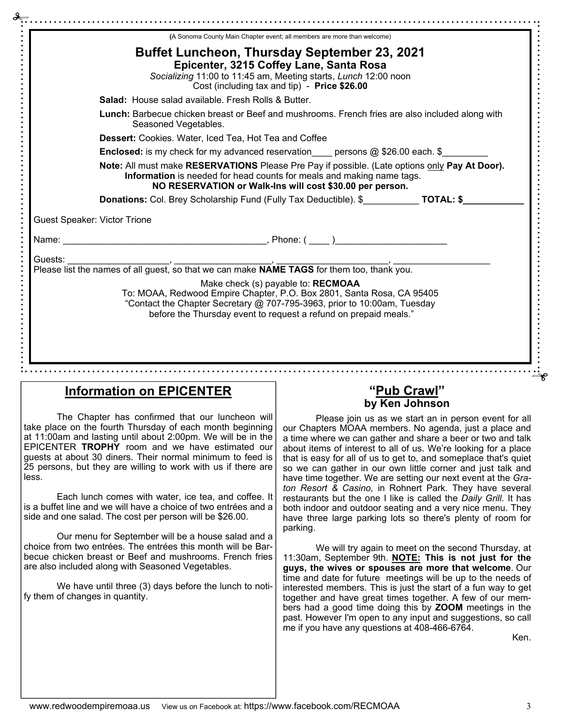|         | (A Sonoma County Main Chapter event; all members are more than welcome)                                                                                                                                                            |
|---------|------------------------------------------------------------------------------------------------------------------------------------------------------------------------------------------------------------------------------------|
|         | <b>Buffet Luncheon, Thursday September 23, 2021</b><br>Epicenter, 3215 Coffey Lane, Santa Rosa<br>Socializing 11:00 to 11:45 am, Meeting starts, Lunch 12:00 noon<br>Cost (including tax and tip) - Price \$26.00                  |
|         | Salad: House salad available. Fresh Rolls & Butter.                                                                                                                                                                                |
|         | Lunch: Barbecue chicken breast or Beef and mushrooms. French fries are also included along with<br>Seasoned Vegetables.                                                                                                            |
|         | Dessert: Cookies. Water, Iced Tea, Hot Tea and Coffee                                                                                                                                                                              |
|         | <b>Enclosed:</b> is my check for my advanced reservation persons $@$ \$26.00 each. \$                                                                                                                                              |
|         | Note: All must make RESERVATIONS Please Pre Pay if possible. (Late options only Pay At Door).<br>Information is needed for head counts for meals and making name tags.<br>NO RESERVATION or Walk-Ins will cost \$30.00 per person. |
|         | Donations: Col. Brey Scholarship Fund (Fully Tax Deductible). \$__________________                                                                                                                                                 |
|         | <b>Guest Speaker: Victor Trione</b>                                                                                                                                                                                                |
|         |                                                                                                                                                                                                                                    |
| Guests: | Make check (s) payable to: RECMOAA<br>To: MOAA, Redwood Empire Chapter, P.O. Box 2801, Santa Rosa, CA 95405<br>"Contact the Chapter Secretary @ 707-795-3963, prior to 10:00am, Tuesday                                            |
|         | before the Thursday event to request a refund on prepaid meals."                                                                                                                                                                   |
|         |                                                                                                                                                                                                                                    |

 The Chapter has confirmed that our luncheon will take place on the fourth Thursday of each month beginning at 11:00am and lasting until about 2:00pm. We will be in the EPICENTER **TROPHY** room and we have estimated our guests at about 30 diners. Their normal minimum to feed is 25 persons, but they are willing to work with us if there are less.

 Each lunch comes with water, ice tea, and coffee. It is a buffet line and we will have a choice of two entrées and a side and one salad. The cost per person will be \$26.00.

 Our menu for September will be a house salad and a choice from two entrées. The entrées this month will be Barbecue chicken breast or Beef and mushrooms. French fries are also included along with Seasoned Vegetables.

 We have until three (3) days before the lunch to notify them of changes in quantity.

Please join us as we start an in person event for all our Chapters MOAA members. No agenda, just a place and a time where we can gather and share a beer or two and talk about items of interest to all of us. We're looking for a place that is easy for all of us to get to, and someplace that's quiet so we can gather in our own little corner and just talk and have time together. We are setting our next event at the *Graton Resort & Casino,* in Rohnert Park. They have several restaurants but the one I like is called the *Daily Grill*. It has both indoor and outdoor seating and a very nice menu. They have three large parking lots so there's plenty of room for parking.

 We will try again to meet on the second Thursday, at 11:30am, September 9th. **NOTE: This is not just for the guys, the wives or spouses are more that welcome**. Our time and date for future meetings will be up to the needs of interested members. This is just the start of a fun way to get together and have great times together. A few of our members had a good time doing this by **ZOOM** meetings in the past. However I'm open to any input and suggestions, so call me if you have any questions at 408-466-6764.

Ken.